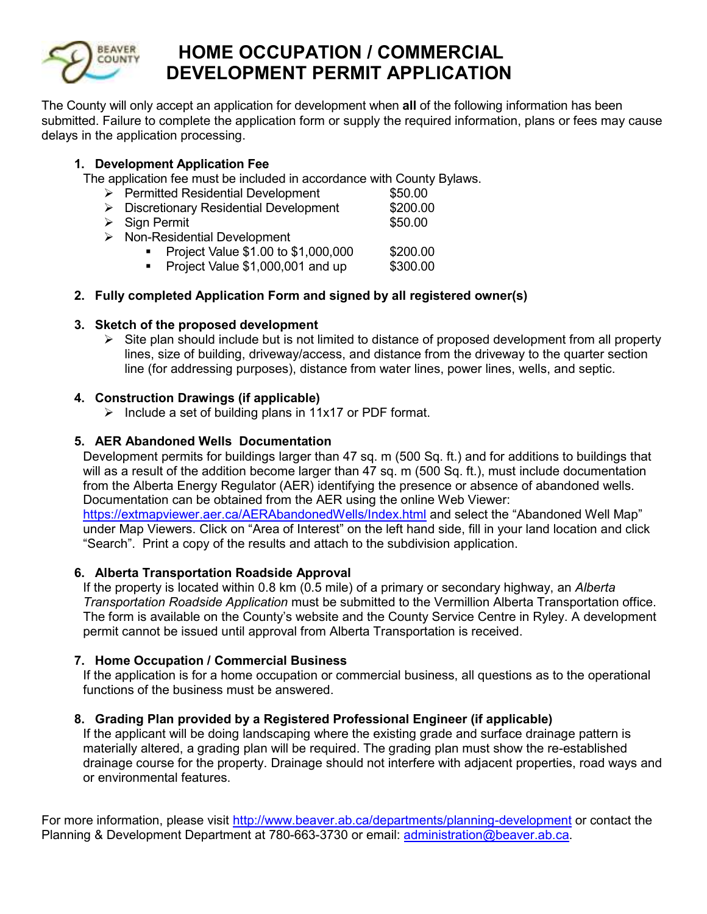

# **EEAVER HOME OCCUPATION / COMMERCIAL DEVELOPMENT PERMIT APPLICATION**

The County will only accept an application for development when **all** of the following information has been submitted. Failure to complete the application form or supply the required information, plans or fees may cause delays in the application processing.

# **1. Development Application Fee**

The application fee must be included in accordance with County Bylaws.

| \$200.00                                     |  |  |  |  |  |
|----------------------------------------------|--|--|--|--|--|
|                                              |  |  |  |  |  |
| $\triangleright$ Non-Residential Development |  |  |  |  |  |
| \$200.00                                     |  |  |  |  |  |
| \$300.00                                     |  |  |  |  |  |
|                                              |  |  |  |  |  |

# **2. Fully completed Application Form and signed by all registered owner(s)**

# **3. Sketch of the proposed development**

 $\triangleright$  Site plan should include but is not limited to distance of proposed development from all property lines, size of building, driveway/access, and distance from the driveway to the quarter section line (for addressing purposes), distance from water lines, power lines, wells, and septic.

# **4. Construction Drawings (if applicable)**

 $\triangleright$  Include a set of building plans in 11x17 or PDF format.

# **5. AER Abandoned Wells Documentation**

Development permits for buildings larger than 47 sq. m (500 Sq. ft.) and for additions to buildings that will as a result of the addition become larger than 47 sq. m (500 Sq. ft.), must include documentation from the Alberta Energy Regulator (AER) identifying the presence or absence of abandoned wells. Documentation can be obtained from the AER using the online Web Viewer: https://extmapviewer.aer.ca/AERAbandonedWells/Index.html and select the "Abandoned Well Map" under Map Viewers. Click on "Area of Interest" on the left hand side, fill in your land location and click "Search". Print a copy of the results and attach to the subdivision application.

## **6. Alberta Transportation Roadside Approval**

If the property is located within 0.8 km (0.5 mile) of a primary or secondary highway, an *Alberta Transportation Roadside Application* must be submitted to the Vermillion Alberta Transportation office. The form is available on the County's website and the County Service Centre in Ryley. A development permit cannot be issued until approval from Alberta Transportation is received.

## **7. Home Occupation / Commercial Business**

If the application is for a home occupation or commercial business, all questions as to the operational functions of the business must be answered.

## **8. Grading Plan provided by a Registered Professional Engineer (if applicable)**

If the applicant will be doing landscaping where the existing grade and surface drainage pattern is materially altered, a grading plan will be required. The grading plan must show the re-established drainage course for the property. Drainage should not interfere with adjacent properties, road ways and or environmental features.

For more information, please visit http://www.beaver.ab.ca/departments/planning-development or contact the Planning & Development Department at 780-663-3730 or email: administration@beaver.ab.ca.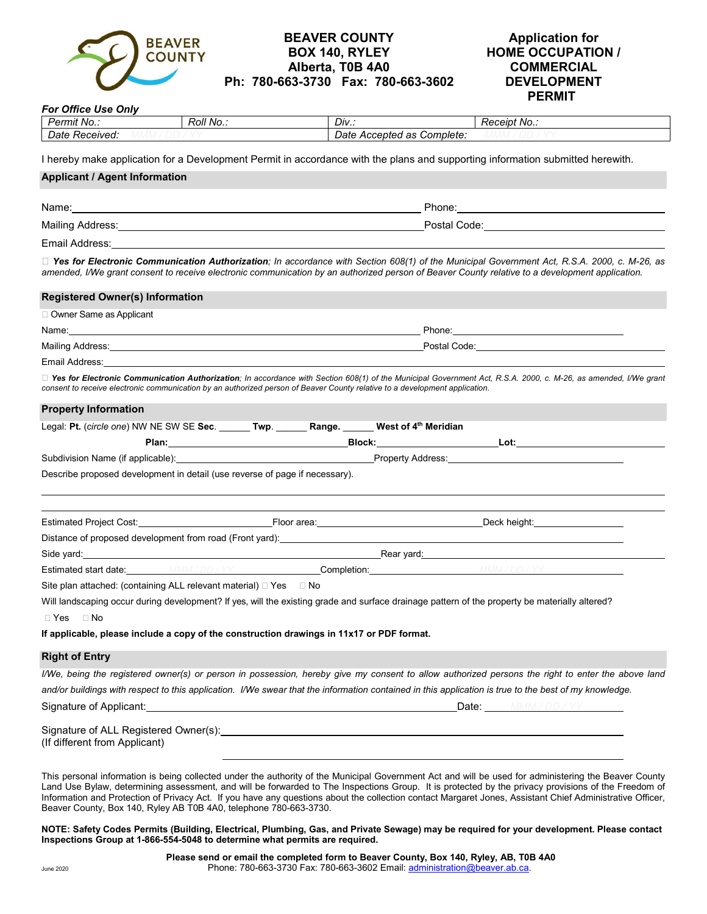

#### **BEAVER COUNTY BOX 140, RYLEY Alberta, T0B 4A0 Ph: 780-663-3730 Fax: 780-663-3602**

#### **Application for HOME OCCUPATION / COMMERCIAL DEVELOPMENT PERMIT**

| <b>For Office Use Only</b>                                                                                                  |           |                                                                                                                                                                                                                                                                                                                                                                                                                                                                        |       |                            |                                                                                                                                                                                                                                                                                                              |  |
|-----------------------------------------------------------------------------------------------------------------------------|-----------|------------------------------------------------------------------------------------------------------------------------------------------------------------------------------------------------------------------------------------------------------------------------------------------------------------------------------------------------------------------------------------------------------------------------------------------------------------------------|-------|----------------------------|--------------------------------------------------------------------------------------------------------------------------------------------------------------------------------------------------------------------------------------------------------------------------------------------------------------|--|
| Permit No.:<br>Date Received:                                                                                               | Roll No.: |                                                                                                                                                                                                                                                                                                                                                                                                                                                                        | Div.: | Date Accepted as Complete: | Receipt No.:                                                                                                                                                                                                                                                                                                 |  |
|                                                                                                                             |           |                                                                                                                                                                                                                                                                                                                                                                                                                                                                        |       |                            |                                                                                                                                                                                                                                                                                                              |  |
|                                                                                                                             |           |                                                                                                                                                                                                                                                                                                                                                                                                                                                                        |       |                            | I hereby make application for a Development Permit in accordance with the plans and supporting information submitted herewith.                                                                                                                                                                               |  |
| <b>Applicant / Agent Information</b>                                                                                        |           |                                                                                                                                                                                                                                                                                                                                                                                                                                                                        |       |                            |                                                                                                                                                                                                                                                                                                              |  |
|                                                                                                                             |           |                                                                                                                                                                                                                                                                                                                                                                                                                                                                        |       |                            |                                                                                                                                                                                                                                                                                                              |  |
|                                                                                                                             |           | Postal Code: <u>www.community.com and the set of the set of the set of the set of the set of the set of the set of the set of the set of the set of the set of the set of the set of the set of the set of the set of the set of</u><br>Mailing Address: National Address: National Address: National Address: National Address: National Address: National Address: National Address: National Address: National Address: National Address: National Address: Nationa |       |                            |                                                                                                                                                                                                                                                                                                              |  |
|                                                                                                                             |           |                                                                                                                                                                                                                                                                                                                                                                                                                                                                        |       |                            |                                                                                                                                                                                                                                                                                                              |  |
|                                                                                                                             |           |                                                                                                                                                                                                                                                                                                                                                                                                                                                                        |       |                            | □ Yes for Electronic Communication Authorization; In accordance with Section 608(1) of the Municipal Government Act, R.S.A. 2000, c. M-26, as<br>amended, I/We grant consent to receive electronic communication by an authorized person of Beaver County relative to a development application.             |  |
| <b>Registered Owner(s) Information</b>                                                                                      |           |                                                                                                                                                                                                                                                                                                                                                                                                                                                                        |       |                            |                                                                                                                                                                                                                                                                                                              |  |
| □ Owner Same as Applicant                                                                                                   |           |                                                                                                                                                                                                                                                                                                                                                                                                                                                                        |       |                            |                                                                                                                                                                                                                                                                                                              |  |
|                                                                                                                             |           |                                                                                                                                                                                                                                                                                                                                                                                                                                                                        |       |                            |                                                                                                                                                                                                                                                                                                              |  |
|                                                                                                                             |           |                                                                                                                                                                                                                                                                                                                                                                                                                                                                        |       |                            |                                                                                                                                                                                                                                                                                                              |  |
| Email Address:                                                                                                              |           |                                                                                                                                                                                                                                                                                                                                                                                                                                                                        |       |                            |                                                                                                                                                                                                                                                                                                              |  |
| consent to receive electronic communication by an authorized person of Beaver County relative to a development application. |           |                                                                                                                                                                                                                                                                                                                                                                                                                                                                        |       |                            | □ Yes for Electronic Communication Authorization; In accordance with Section 608(1) of the Municipal Government Act, R.S.A. 2000, c. M-26, as amended, I/We grant                                                                                                                                            |  |
| <b>Property Information</b>                                                                                                 |           |                                                                                                                                                                                                                                                                                                                                                                                                                                                                        |       |                            |                                                                                                                                                                                                                                                                                                              |  |
| Legal: Pt. (circle one) NW NE SW SE Sec. ______ Twp. ______ Range. _____ West of 4 <sup>th</sup> Meridian                   |           |                                                                                                                                                                                                                                                                                                                                                                                                                                                                        |       |                            |                                                                                                                                                                                                                                                                                                              |  |
|                                                                                                                             |           |                                                                                                                                                                                                                                                                                                                                                                                                                                                                        |       |                            |                                                                                                                                                                                                                                                                                                              |  |
|                                                                                                                             |           |                                                                                                                                                                                                                                                                                                                                                                                                                                                                        |       |                            |                                                                                                                                                                                                                                                                                                              |  |
| Describe proposed development in detail (use reverse of page if necessary).                                                 |           |                                                                                                                                                                                                                                                                                                                                                                                                                                                                        |       |                            |                                                                                                                                                                                                                                                                                                              |  |
|                                                                                                                             |           |                                                                                                                                                                                                                                                                                                                                                                                                                                                                        |       |                            |                                                                                                                                                                                                                                                                                                              |  |
|                                                                                                                             |           |                                                                                                                                                                                                                                                                                                                                                                                                                                                                        |       |                            |                                                                                                                                                                                                                                                                                                              |  |
|                                                                                                                             |           |                                                                                                                                                                                                                                                                                                                                                                                                                                                                        |       |                            | Distance of proposed development from road (Front yard): Notified the substitution of proposed development from road (Front yard):                                                                                                                                                                           |  |
|                                                                                                                             |           |                                                                                                                                                                                                                                                                                                                                                                                                                                                                        |       |                            | Side yard: <b>Example 2018</b> 2021 2022 2023 2024 2022 2022 2023 2024 2022 2023 2024 2022 2023 2024 2022 2023 2024 20<br>Estimated start date: MMM/DD/YY Completion: Completion: MMM/DD/YY                                                                                                                  |  |
|                                                                                                                             |           |                                                                                                                                                                                                                                                                                                                                                                                                                                                                        |       |                            |                                                                                                                                                                                                                                                                                                              |  |
|                                                                                                                             |           |                                                                                                                                                                                                                                                                                                                                                                                                                                                                        |       |                            |                                                                                                                                                                                                                                                                                                              |  |
|                                                                                                                             |           |                                                                                                                                                                                                                                                                                                                                                                                                                                                                        |       |                            | Will landscaping occur during development? If yes, will the existing grade and surface drainage pattern of the property be materially altered?                                                                                                                                                               |  |
| $\Box$ Yes $\Box$ No<br>If applicable, please include a copy of the construction drawings in 11x17 or PDF format.           |           |                                                                                                                                                                                                                                                                                                                                                                                                                                                                        |       |                            |                                                                                                                                                                                                                                                                                                              |  |
|                                                                                                                             |           |                                                                                                                                                                                                                                                                                                                                                                                                                                                                        |       |                            |                                                                                                                                                                                                                                                                                                              |  |
| <b>Right of Entry</b>                                                                                                       |           |                                                                                                                                                                                                                                                                                                                                                                                                                                                                        |       |                            |                                                                                                                                                                                                                                                                                                              |  |
|                                                                                                                             |           |                                                                                                                                                                                                                                                                                                                                                                                                                                                                        |       |                            | I/We, being the registered owner(s) or person in possession, hereby give my consent to allow authorized persons the right to enter the above land                                                                                                                                                            |  |
|                                                                                                                             |           |                                                                                                                                                                                                                                                                                                                                                                                                                                                                        |       |                            | and/or buildings with respect to this application. I/We swear that the information contained in this application is true to the best of my knowledge.                                                                                                                                                        |  |
|                                                                                                                             |           |                                                                                                                                                                                                                                                                                                                                                                                                                                                                        |       |                            |                                                                                                                                                                                                                                                                                                              |  |
|                                                                                                                             |           |                                                                                                                                                                                                                                                                                                                                                                                                                                                                        |       |                            |                                                                                                                                                                                                                                                                                                              |  |
| (If different from Applicant)                                                                                               |           |                                                                                                                                                                                                                                                                                                                                                                                                                                                                        |       |                            |                                                                                                                                                                                                                                                                                                              |  |
|                                                                                                                             |           |                                                                                                                                                                                                                                                                                                                                                                                                                                                                        |       |                            |                                                                                                                                                                                                                                                                                                              |  |
|                                                                                                                             |           |                                                                                                                                                                                                                                                                                                                                                                                                                                                                        |       |                            | This personal information is being collected under the authority of the Municipal Government Act and will be used for administering the Beaver County<br>Land Use Bylaw, determining assessment, and will be forwarded to The Inspections Group. It is protected by the privacy provisions of the Freedom of |  |

nd will be forwarded to The Inspections Group. It is protected by the privacy provisions of the Free Information and Protection of Privacy Act. If you have any questions about the collection contact Margaret Jones, Assistant Chief Administrative Officer, Beaver County, Box 140, Ryley AB T0B 4A0, telephone 780-663-3730.

#### **NOTE: Safety Codes Permits (Building, Electrical, Plumbing, Gas, and Private Sewage) may be required for your development. Please contact Inspections Group at 1-866-554-5048 to determine what permits are required.**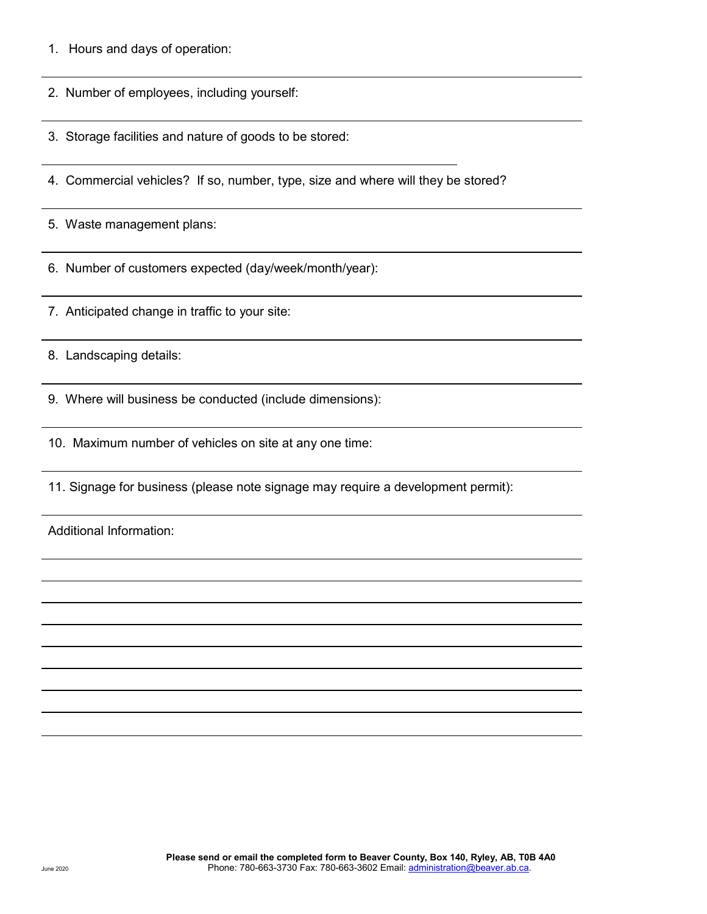1. Hours and days of operation:

 $\overline{a}$ 

 $\overline{a}$ 

 $\overline{a}$ 

 $\overline{a}$ 

 $\overline{a}$ 

 $\overline{a}$ 

 $\overline{a}$ 

 $\overline{a}$ 

 $\overline{a}$ 

 $\overline{a}$ 

 $\overline{a}$ 

 $\overline{a}$  $\overline{a}$ 

- 2. Number of employees, including yourself:
- 3. Storage facilities and nature of goods to be stored:
- 4. Commercial vehicles? If so, number, type, size and where will they be stored?
- 5. Waste management plans:
- 6. Number of customers expected (day/week/month/year):
- 7. Anticipated change in traffic to your site:

8. Landscaping details:

- 9. Where will business be conducted (include dimensions):
- 10. Maximum number of vehicles on site at any one time:
- 11. Signage for business (please note signage may require a development permit):

Additional Information: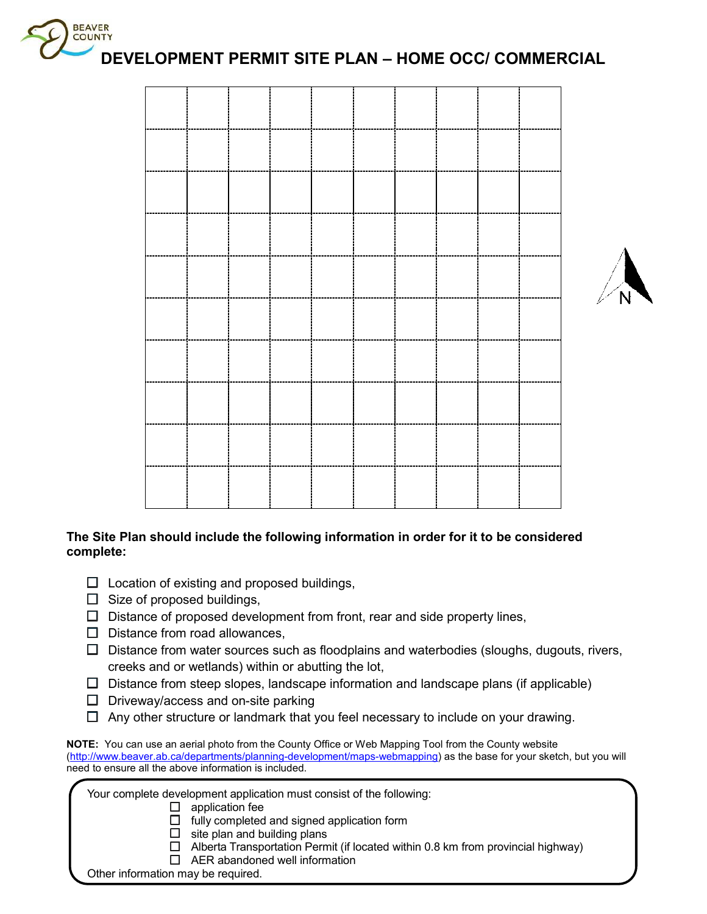



## **The Site Plan should include the following information in order for it to be considered complete:**

- $\square$  Location of existing and proposed buildings,
- $\Box$  Size of proposed buildings,
- $\Box$  Distance of proposed development from front, rear and side property lines,
- $\Box$  Distance from road allowances,
- $\Box$  Distance from water sources such as floodplains and waterbodies (sloughs, dugouts, rivers, creeks and or wetlands) within or abutting the lot,
- $\square$  Distance from steep slopes, landscape information and landscape plans (if applicable)
- $\Box$  Driveway/access and on-site parking
- $\Box$  Any other structure or landmark that you feel necessary to include on your drawing.

| NOTE: You can use an aerial photo from the County Office or Web Mapping Tool from the County website                 |
|----------------------------------------------------------------------------------------------------------------------|
| (http://www.beaver.ab.ca/departments/planning-development/maps-webmapping) as the base for your sketch, but you will |
| need to ensure all the above information is included.                                                                |

| Your complete development application must consist of the following:                    |
|-----------------------------------------------------------------------------------------|
| application fee                                                                         |
| fully completed and signed application form                                             |
| site plan and building plans<br>$\mathbf{L}$                                            |
| $\Box$ Alberta Transportation Permit (if located within 0.8 km from provincial highway) |
| $\Box$ AER abandoned well information                                                   |
| Other information may be required.                                                      |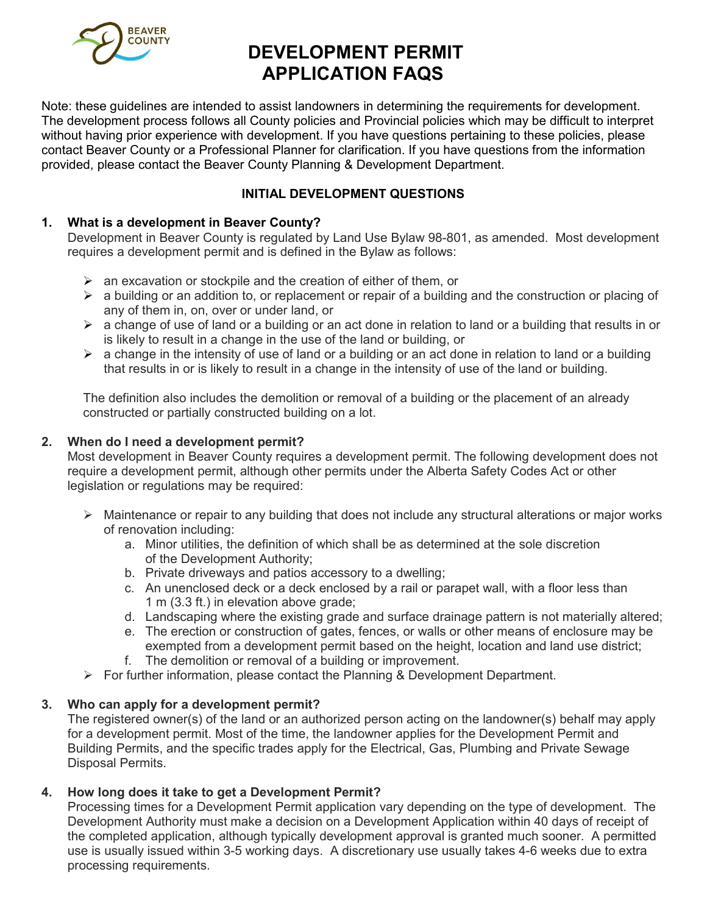

# **DEVELOPMENT PERMIT APPLICATION FAQS**

Note: these guidelines are intended to assist landowners in determining the requirements for development. The development process follows all County policies and Provincial policies which may be difficult to interpret without having prior experience with development. If you have questions pertaining to these policies, please contact Beaver County or a Professional Planner for clarification. If you have questions from the information provided, please contact the Beaver County Planning & Development Department.

# **INITIAL DEVELOPMENT QUESTIONS**

# **1. What is a development in Beaver County?**

Development in Beaver County is regulated by Land Use Bylaw 98-801, as amended. Most development requires a development permit and is defined in the Bylaw as follows:

- $\triangleright$  an excavation or stockpile and the creation of either of them, or
- $\triangleright$  a building or an addition to, or replacement or repair of a building and the construction or placing of any of them in, on, over or under land, or
- $\triangleright$  a change of use of land or a building or an act done in relation to land or a building that results in or is likely to result in a change in the use of the land or building, or
- $\triangleright$  a change in the intensity of use of land or a building or an act done in relation to land or a building that results in or is likely to result in a change in the intensity of use of the land or building.

The definition also includes the demolition or removal of a building or the placement of an already constructed or partially constructed building on a lot.

## **2. When do I need a development permit?**

Most development in Beaver County requires a development permit. The following development does not require a development permit, although other permits under the Alberta Safety Codes Act or other legislation or regulations may be required:

- $\triangleright$  Maintenance or repair to any building that does not include any structural alterations or major works of renovation including:
	- a. Minor utilities, the definition of which shall be as determined at the sole discretion of the Development Authority;
	- b. Private driveways and patios accessory to a dwelling;
	- c. An unenclosed deck or a deck enclosed by a rail or parapet wall, with a floor less than 1 m (3.3 ft.) in elevation above grade;
	- d. Landscaping where the existing grade and surface drainage pattern is not materially altered;
	- e. The erection or construction of gates, fences, or walls or other means of enclosure may be exempted from a development permit based on the height, location and land use district;
	- f. The demolition or removal of a building or improvement.
- $\triangleright$  For further information, please contact the Planning & Development Department.

## **3. Who can apply for a development permit?**

The registered owner(s) of the land or an authorized person acting on the landowner(s) behalf may apply for a development permit. Most of the time, the landowner applies for the Development Permit and Building Permits, and the specific trades apply for the Electrical, Gas, Plumbing and Private Sewage Disposal Permits.

## **4. How long does it take to get a Development Permit?**

Processing times for a Development Permit application vary depending on the type of development. The Development Authority must make a decision on a Development Application within 40 days of receipt of the completed application, although typically development approval is granted much sooner. A permitted use is usually issued within 3-5 working days. A discretionary use usually takes 4-6 weeks due to extra processing requirements.